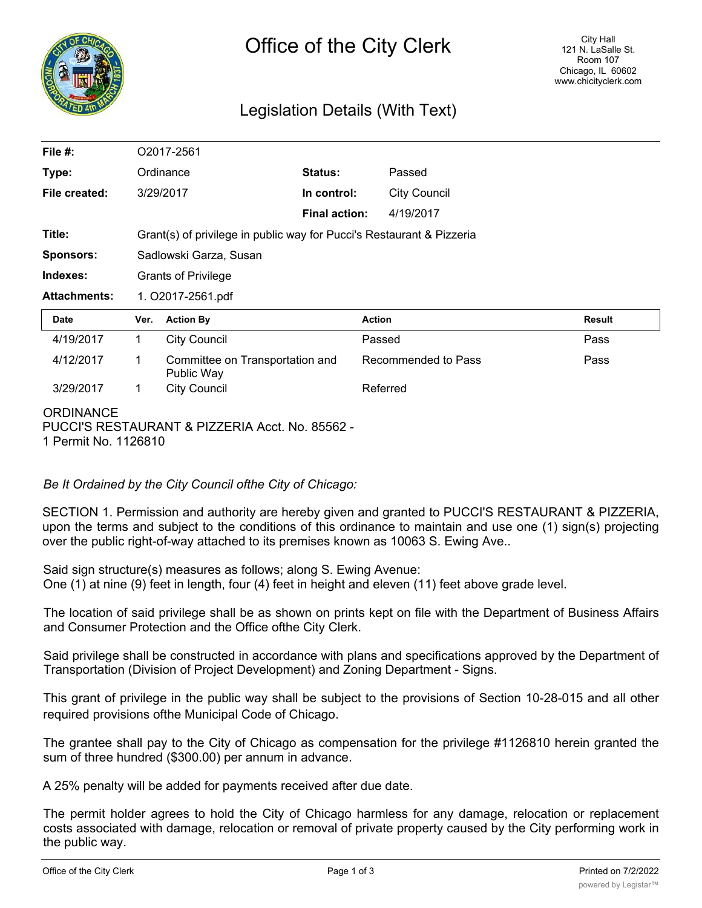

# Legislation Details (With Text)

| File $#$ :                         | O2017-2561                                                            |                                               |                      |                     |  |               |
|------------------------------------|-----------------------------------------------------------------------|-----------------------------------------------|----------------------|---------------------|--|---------------|
| Type:                              |                                                                       | Ordinance                                     | Status:              | Passed              |  |               |
| File created:                      |                                                                       | 3/29/2017                                     | In control:          | <b>City Council</b> |  |               |
|                                    |                                                                       |                                               | <b>Final action:</b> | 4/19/2017           |  |               |
| Title:                             | Grant(s) of privilege in public way for Pucci's Restaurant & Pizzeria |                                               |                      |                     |  |               |
| <b>Sponsors:</b>                   | Sadlowski Garza, Susan                                                |                                               |                      |                     |  |               |
| Indexes:                           | <b>Grants of Privilege</b>                                            |                                               |                      |                     |  |               |
| <b>Attachments:</b>                | 1. O2017-2561.pdf                                                     |                                               |                      |                     |  |               |
| <b>Date</b>                        | Ver.                                                                  | <b>Action By</b>                              |                      | <b>Action</b>       |  | <b>Result</b> |
| 4/19/2017                          | 1                                                                     | <b>City Council</b>                           |                      | Passed              |  | Pass          |
| 4/12/2017                          | 1                                                                     | Committee on Transportation and<br>Public Way |                      | Recommended to Pass |  | Pass          |
| 3/29/2017                          | 1                                                                     | <b>City Council</b>                           |                      | Referred            |  |               |
| <b>ORDINANCE</b><br>. .— . — .———— |                                                                       |                                               |                      |                     |  |               |

PUCCI'S RESTAURANT & PIZZERIA Acct. No. 85562 - 1 Permit No. 1126810

## *Be It Ordained by the City Council ofthe City of Chicago:*

SECTION 1. Permission and authority are hereby given and granted to PUCCI'S RESTAURANT & PIZZERIA, upon the terms and subject to the conditions of this ordinance to maintain and use one (1) sign(s) projecting over the public right-of-way attached to its premises known as 10063 S. Ewing Ave..

Said sign structure(s) measures as follows; along S. Ewing Avenue: One (1) at nine (9) feet in length, four (4) feet in height and eleven (11) feet above grade level.

The location of said privilege shall be as shown on prints kept on file with the Department of Business Affairs and Consumer Protection and the Office ofthe City Clerk.

Said privilege shall be constructed in accordance with plans and specifications approved by the Department of Transportation (Division of Project Development) and Zoning Department - Signs.

This grant of privilege in the public way shall be subject to the provisions of Section 10-28-015 and all other required provisions ofthe Municipal Code of Chicago.

The grantee shall pay to the City of Chicago as compensation for the privilege #1126810 herein granted the sum of three hundred (\$300.00) per annum in advance.

A 25% penalty will be added for payments received after due date.

The permit holder agrees to hold the City of Chicago harmless for any damage, relocation or replacement costs associated with damage, relocation or removal of private property caused by the City performing work in the public way.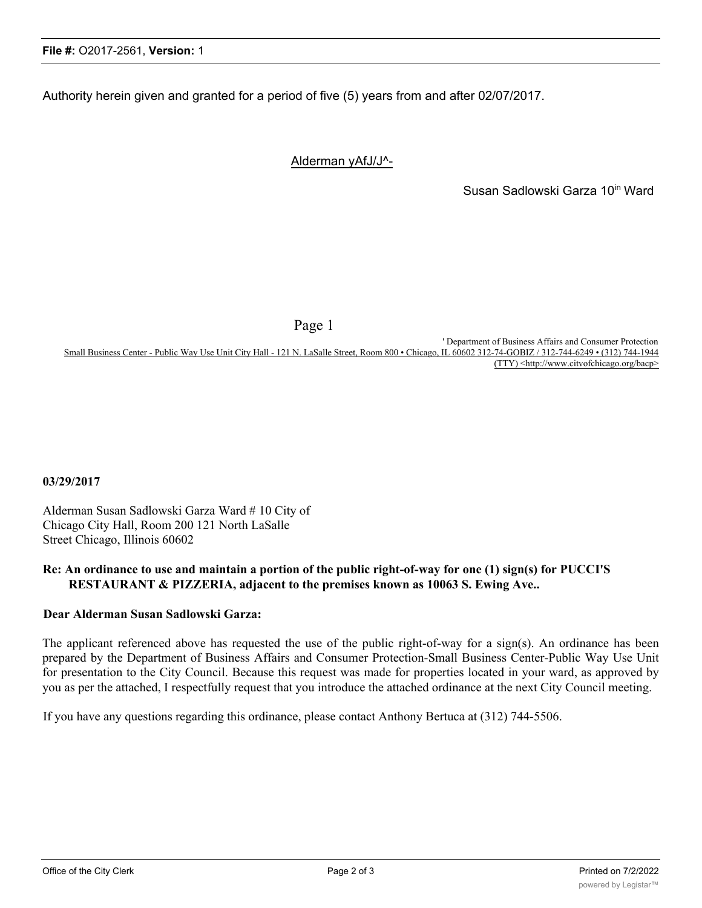Authority herein given and granted for a period of five (5) years from and after 02/07/2017.

## Alderman yAfJ/J^-

Susan Sadlowski Garza 10<sup>in</sup> Ward

Page 1

' Department of Business Affairs and Consumer Protection Small Business Center - Public Way Use Unit City Hall - 121 N. LaSalle Street, Room 800 • Chicago, IL 60602 312-74-GOBIZ / 312-744-6249 • (312) 744-1944 (TTY) <http://www.citvofchicago.org/bacp>

**03/29/2017**

Alderman Susan Sadlowski Garza Ward # 10 City of Chicago City Hall, Room 200 121 North LaSalle Street Chicago, Illinois 60602

#### **Re: An ordinance to use and maintain a portion of the public right-of-way for one (1) sign(s) for PUCCI'S RESTAURANT & PIZZERIA, adjacent to the premises known as 10063 S. Ewing Ave..**

#### **Dear Alderman Susan Sadlowski Garza:**

The applicant referenced above has requested the use of the public right-of-way for a sign(s). An ordinance has been prepared by the Department of Business Affairs and Consumer Protection-Small Business Center-Public Way Use Unit for presentation to the City Council. Because this request was made for properties located in your ward, as approved by you as per the attached, I respectfully request that you introduce the attached ordinance at the next City Council meeting.

If you have any questions regarding this ordinance, please contact Anthony Bertuca at (312) 744-5506.